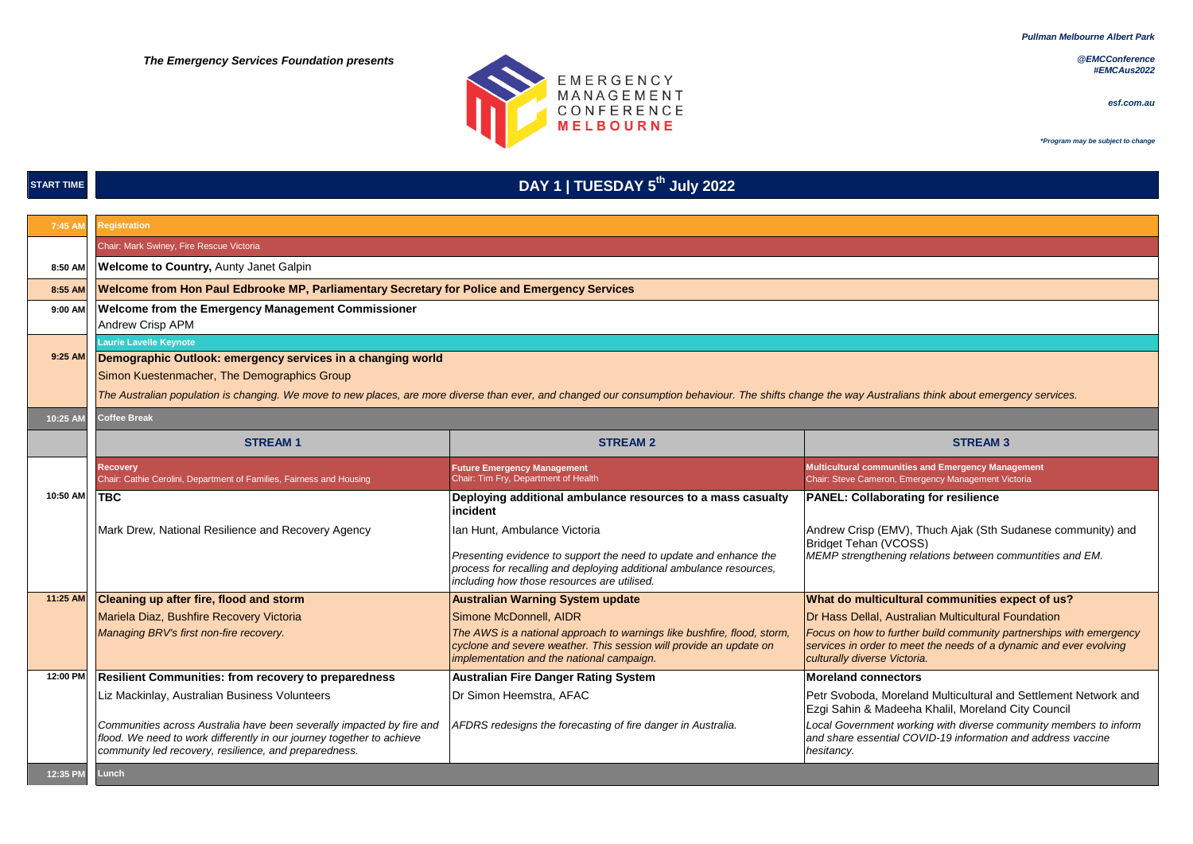*Pullman Melbourne Albert Park*

 *The Emergency Services Foundation presents*



*@EMCConference #EMCAus2022*

*esf.com.au*

*\*Program may be subject to change*

### **START TIME**

### **DAY 1 | TUESDAY 5th July 2022**

| 7:45 AM  | Registration                                                                                                                                                                                            |                                                                                                                                                                                            |                                                                                                                                                                           |  |  |
|----------|---------------------------------------------------------------------------------------------------------------------------------------------------------------------------------------------------------|--------------------------------------------------------------------------------------------------------------------------------------------------------------------------------------------|---------------------------------------------------------------------------------------------------------------------------------------------------------------------------|--|--|
|          | Chair: Mark Swiney, Fire Rescue Victoria                                                                                                                                                                |                                                                                                                                                                                            |                                                                                                                                                                           |  |  |
| 8:50 AM  | Welcome to Country, Aunty Janet Galpin                                                                                                                                                                  |                                                                                                                                                                                            |                                                                                                                                                                           |  |  |
| 8:55 AM  | Welcome from Hon Paul Edbrooke MP, Parliamentary Secretary for Police and Emergency Services                                                                                                            |                                                                                                                                                                                            |                                                                                                                                                                           |  |  |
| 9:00 AM  | <b>Welcome from the Emergency Management Commissioner</b>                                                                                                                                               |                                                                                                                                                                                            |                                                                                                                                                                           |  |  |
|          | <b>Andrew Crisp APM</b>                                                                                                                                                                                 |                                                                                                                                                                                            |                                                                                                                                                                           |  |  |
| 9:25 AM  | <b>Laurie Lavelle Keynote</b>                                                                                                                                                                           |                                                                                                                                                                                            |                                                                                                                                                                           |  |  |
|          | Demographic Outlook: emergency services in a changing world                                                                                                                                             |                                                                                                                                                                                            |                                                                                                                                                                           |  |  |
|          | Simon Kuestenmacher, The Demographics Group                                                                                                                                                             |                                                                                                                                                                                            |                                                                                                                                                                           |  |  |
|          | The Australian population is changing. We move to new places, are more diverse than ever, and changed our consumption behaviour. The shifts change the way Australians think about emergency services.  |                                                                                                                                                                                            |                                                                                                                                                                           |  |  |
| 10:25 AM | <b>Coffee Break</b>                                                                                                                                                                                     |                                                                                                                                                                                            |                                                                                                                                                                           |  |  |
|          | <b>STREAM1</b>                                                                                                                                                                                          | <b>STREAM 2</b>                                                                                                                                                                            | <b>STREAM 3</b>                                                                                                                                                           |  |  |
|          | <b>Recovery</b><br>Chair: Cathie Cerolini, Department of Families, Fairness and Housing                                                                                                                 | <b>Future Emergency Management</b><br>Chair: Tim Fry, Department of Health                                                                                                                 | Multicultural communities and Emergency Management<br>Chair: Steve Cameron, Emergency Management Victoria                                                                 |  |  |
| 10:50 AM | <b>TBC</b>                                                                                                                                                                                              | Deploying additional ambulance resources to a mass casualty<br>incident                                                                                                                    | <b>PANEL: Collaborating for resilience</b>                                                                                                                                |  |  |
|          | Mark Drew, National Resilience and Recovery Agency                                                                                                                                                      | Ian Hunt, Ambulance Victoria                                                                                                                                                               | Andrew Crisp (EMV), Thuch Ajak (Sth Sudanese community) and                                                                                                               |  |  |
|          |                                                                                                                                                                                                         | Presenting evidence to support the need to update and enhance the<br>process for recalling and deploying additional ambulance resources,<br>including how those resources are utilised.    | Bridget Tehan (VCOSS)<br>MEMP strengthening relations between communtities and EM.                                                                                        |  |  |
| 11:25 AM | Cleaning up after fire, flood and storm                                                                                                                                                                 | <b>Australian Warning System update</b>                                                                                                                                                    | What do multicultural communities expect of us?                                                                                                                           |  |  |
|          | Mariela Diaz, Bushfire Recovery Victoria                                                                                                                                                                | Simone McDonnell, AIDR                                                                                                                                                                     | Dr Hass Dellal, Australian Multicultural Foundation                                                                                                                       |  |  |
|          | Managing BRV's first non-fire recovery.                                                                                                                                                                 | The AWS is a national approach to warnings like bushfire, flood, storm,<br>cyclone and severe weather. This session will provide an update on<br>implementation and the national campaign. | Focus on how to further build community partnerships with emergency<br>services in order to meet the needs of a dynamic and ever evolving<br>culturally diverse Victoria. |  |  |
| 12:00 PM | <b>Resilient Communities: from recovery to preparedness</b>                                                                                                                                             | <b>Australian Fire Danger Rating System</b>                                                                                                                                                | <b>Moreland connectors</b>                                                                                                                                                |  |  |
|          | Liz Mackinlay, Australian Business Volunteers                                                                                                                                                           | Dr Simon Heemstra, AFAC                                                                                                                                                                    | Petr Svoboda, Moreland Multicultural and Settlement Network and<br>Ezgi Sahin & Madeeha Khalil, Moreland City Council                                                     |  |  |
|          | Communities across Australia have been severally impacted by fire and<br>flood. We need to work differently in our journey together to achieve<br>community led recovery, resilience, and preparedness. | AFDRS redesigns the forecasting of fire danger in Australia.                                                                                                                               | Local Government working with diverse community members to inform<br>and share essential COVID-19 information and address vaccine<br>hesitancy.                           |  |  |
| 12:35 PM | Lunch                                                                                                                                                                                                   |                                                                                                                                                                                            |                                                                                                                                                                           |  |  |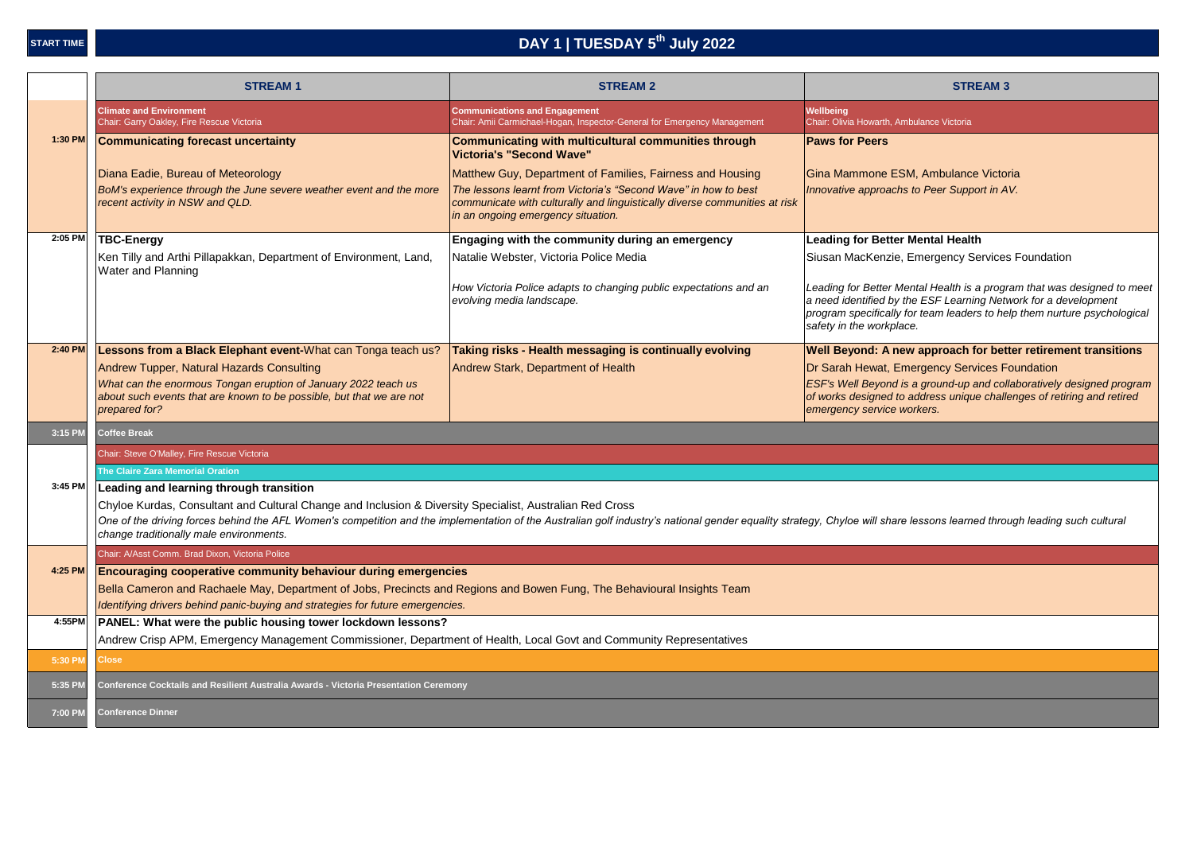# **DAY 1 | TUESDAY 5th July 2022**

|         | <b>STREAM1</b>                                                                                                                                                                     | <b>STREAM 2</b>                                                                                                                                                                                                          | <b>STREAM 3</b>                                                                                                                                                                                                                                    |  |  |  |
|---------|------------------------------------------------------------------------------------------------------------------------------------------------------------------------------------|--------------------------------------------------------------------------------------------------------------------------------------------------------------------------------------------------------------------------|----------------------------------------------------------------------------------------------------------------------------------------------------------------------------------------------------------------------------------------------------|--|--|--|
|         | <b>Climate and Environment</b><br>Chair: Garry Oakley, Fire Rescue Victoria                                                                                                        | <b>Communications and Engagement</b><br>Chair: Amii Carmichael-Hogan, Inspector-General for Emergency Management                                                                                                         | Wellbeing<br>Chair: Olivia Howarth, Ambulance Victoria                                                                                                                                                                                             |  |  |  |
| 1:30 PM | <b>Communicating forecast uncertainty</b>                                                                                                                                          | Communicating with multicultural communities through<br>Victoria's "Second Wave"                                                                                                                                         | <b>Paws for Peers</b>                                                                                                                                                                                                                              |  |  |  |
|         | Diana Eadie, Bureau of Meteorology                                                                                                                                                 | Matthew Guy, Department of Families, Fairness and Housing                                                                                                                                                                | Gina Mammone ESM, Ambulance Victoria                                                                                                                                                                                                               |  |  |  |
|         | BoM's experience through the June severe weather event and the more<br>recent activity in NSW and QLD.                                                                             | The lessons learnt from Victoria's "Second Wave" in how to best<br>communicate with culturally and linguistically diverse communities at risk<br>in an ongoing emergency situation.                                      | Innovative approachs to Peer Support in AV.                                                                                                                                                                                                        |  |  |  |
| 2:05 PM | <b>TBC-Energy</b>                                                                                                                                                                  | Engaging with the community during an emergency                                                                                                                                                                          | <b>Leading for Better Mental Health</b>                                                                                                                                                                                                            |  |  |  |
|         | Ken Tilly and Arthi Pillapakkan, Department of Environment, Land,<br><b>Water and Planning</b>                                                                                     | Natalie Webster, Victoria Police Media                                                                                                                                                                                   | Siusan MacKenzie, Emergency Services Foundation                                                                                                                                                                                                    |  |  |  |
|         |                                                                                                                                                                                    | How Victoria Police adapts to changing public expectations and an<br>evolving media landscape.                                                                                                                           | Leading for Better Mental Health is a program that was designed to meet<br>a need identified by the ESF Learning Network for a development<br>program specifically for team leaders to help them nurture psychological<br>safety in the workplace. |  |  |  |
| 2:40 PM | Lessons from a Black Elephant event-What can Tonga teach us?                                                                                                                       | Taking risks - Health messaging is continually evolving                                                                                                                                                                  | Well Beyond: A new approach for better retirement transitions                                                                                                                                                                                      |  |  |  |
|         | Andrew Tupper, Natural Hazards Consulting                                                                                                                                          | Andrew Stark, Department of Health                                                                                                                                                                                       | Dr Sarah Hewat, Emergency Services Foundation                                                                                                                                                                                                      |  |  |  |
|         | What can the enormous Tongan eruption of January 2022 teach us<br>about such events that are known to be possible, but that we are not<br>prepared for?                            |                                                                                                                                                                                                                          | ESF's Well Beyond is a ground-up and collaboratively designed program<br>of works designed to address unique challenges of retiring and retired<br>emergency service workers.                                                                      |  |  |  |
| 3:15 PM | <b>Coffee Break</b>                                                                                                                                                                |                                                                                                                                                                                                                          |                                                                                                                                                                                                                                                    |  |  |  |
|         | Chair: Steve O'Malley, Fire Rescue Victoria                                                                                                                                        |                                                                                                                                                                                                                          |                                                                                                                                                                                                                                                    |  |  |  |
|         | The Claire Zara Memorial Oration                                                                                                                                                   |                                                                                                                                                                                                                          |                                                                                                                                                                                                                                                    |  |  |  |
| 3:45 PM | Leading and learning through transition                                                                                                                                            |                                                                                                                                                                                                                          |                                                                                                                                                                                                                                                    |  |  |  |
|         | Chyloe Kurdas, Consultant and Cultural Change and Inclusion & Diversity Specialist, Australian Red Cross                                                                           |                                                                                                                                                                                                                          |                                                                                                                                                                                                                                                    |  |  |  |
|         | change traditionally male environments.                                                                                                                                            | One of the driving forces behind the AFL Women's competition and the implementation of the Australian golf industry's national gender equality strategy, Chyloe will share lessons learned through leading such cultural |                                                                                                                                                                                                                                                    |  |  |  |
|         | Chair: A/Asst Comm. Brad Dixon, Victoria Police                                                                                                                                    |                                                                                                                                                                                                                          |                                                                                                                                                                                                                                                    |  |  |  |
| 4:25 PM | <b>Encouraging cooperative community behaviour during emergencies</b>                                                                                                              |                                                                                                                                                                                                                          |                                                                                                                                                                                                                                                    |  |  |  |
|         | Bella Cameron and Rachaele May, Department of Jobs, Precincts and Regions and Bowen Fung, The Behavioural Insights Team                                                            |                                                                                                                                                                                                                          |                                                                                                                                                                                                                                                    |  |  |  |
| 4:55PM  | Identifying drivers behind panic-buying and strategies for future emergencies.                                                                                                     |                                                                                                                                                                                                                          |                                                                                                                                                                                                                                                    |  |  |  |
|         | PANEL: What were the public housing tower lockdown lessons?<br>Andrew Crisp APM, Emergency Management Commissioner, Department of Health, Local Govt and Community Representatives |                                                                                                                                                                                                                          |                                                                                                                                                                                                                                                    |  |  |  |
| 5:30 PM | <b>Close</b>                                                                                                                                                                       |                                                                                                                                                                                                                          |                                                                                                                                                                                                                                                    |  |  |  |
| 5:35 PM | <b>Conference Cocktails and Resilient Australia Awards - Victoria Presentation Ceremony</b>                                                                                        |                                                                                                                                                                                                                          |                                                                                                                                                                                                                                                    |  |  |  |
| 7:00 PM | <b>Conference Dinner</b>                                                                                                                                                           |                                                                                                                                                                                                                          |                                                                                                                                                                                                                                                    |  |  |  |
|         |                                                                                                                                                                                    |                                                                                                                                                                                                                          |                                                                                                                                                                                                                                                    |  |  |  |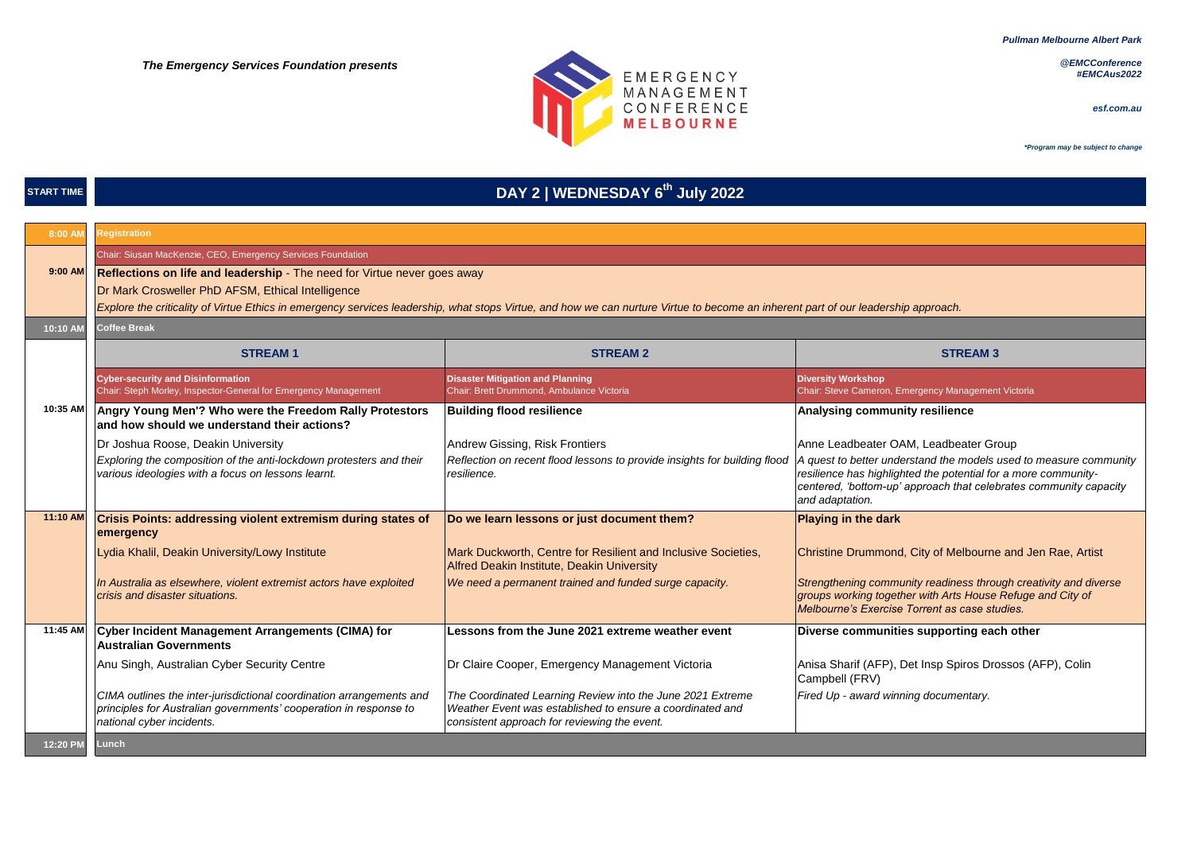*Pullman Melbourne Albert Park*

*@EMCConference #EMCAus2022*

*esf.com.au*



#### **START TIME**

# **DAY 2 | WEDNESDAY 6th July 2022**

| 8:00 AM  | <b>Registration</b>                                                                                                                                                                |                                                                                                                                                                         |                                                                                                                                                                                 |  |  |  |
|----------|------------------------------------------------------------------------------------------------------------------------------------------------------------------------------------|-------------------------------------------------------------------------------------------------------------------------------------------------------------------------|---------------------------------------------------------------------------------------------------------------------------------------------------------------------------------|--|--|--|
|          | Chair: Siusan MacKenzie, CEO, Emergency Services Foundation                                                                                                                        |                                                                                                                                                                         |                                                                                                                                                                                 |  |  |  |
| 9:00 AM  | Reflections on life and leadership - The need for Virtue never goes away                                                                                                           |                                                                                                                                                                         |                                                                                                                                                                                 |  |  |  |
|          | Dr Mark Crosweller PhD AFSM, Ethical Intelligence                                                                                                                                  |                                                                                                                                                                         |                                                                                                                                                                                 |  |  |  |
|          | Explore the criticality of Virtue Ethics in emergency services leadership, what stops Virtue, and how we can nurture Virtue to become an inherent part of our leadership approach. |                                                                                                                                                                         |                                                                                                                                                                                 |  |  |  |
| 10:10 AM | <b>Coffee Break</b>                                                                                                                                                                |                                                                                                                                                                         |                                                                                                                                                                                 |  |  |  |
|          | <b>STREAM1</b>                                                                                                                                                                     | <b>STREAM 2</b>                                                                                                                                                         | <b>STREAM 3</b>                                                                                                                                                                 |  |  |  |
|          | <b>Cyber-security and Disinformation</b><br>Chair: Steph Morley, Inspector-General for Emergency Management                                                                        | <b>Disaster Mitigation and Planning</b><br>Chair: Brett Drummond, Ambulance Victoria                                                                                    | <b>Diversity Workshop</b><br>Chair: Steve Cameron, Emergency Management Victoria                                                                                                |  |  |  |
| 10:35 AM | Angry Young Men'? Who were the Freedom Rally Protestors<br>and how should we understand their actions?                                                                             | <b>Building flood resilience</b>                                                                                                                                        | Analysing community resilience                                                                                                                                                  |  |  |  |
|          | Dr Joshua Roose, Deakin University                                                                                                                                                 | Andrew Gissing, Risk Frontiers                                                                                                                                          | Anne Leadbeater OAM, Leadbeater Group                                                                                                                                           |  |  |  |
|          | Exploring the composition of the anti-lockdown protesters and their<br>various ideologies with a focus on lessons learnt.                                                          | Reflection on recent flood lessons to provide insights for building flood   A quest to better understand the models used to measure community<br>resilience.            | resilience has highlighted the potential for a more community-<br>centered, 'bottom-up' approach that celebrates community capacity<br>and adaptation.                          |  |  |  |
| 11:10 AM | <b>Crisis Points: addressing violent extremism during states of</b><br>emergency                                                                                                   | Do we learn lessons or just document them?                                                                                                                              | <b>Playing in the dark</b>                                                                                                                                                      |  |  |  |
|          | Lydia Khalil, Deakin University/Lowy Institute                                                                                                                                     | Mark Duckworth, Centre for Resilient and Inclusive Societies,<br>Alfred Deakin Institute, Deakin University                                                             | Christine Drummond, City of Melbourne and Jen Rae, Artist                                                                                                                       |  |  |  |
|          | In Australia as elsewhere, violent extremist actors have exploited<br>crisis and disaster situations.                                                                              | We need a permanent trained and funded surge capacity.                                                                                                                  | Strengthening community readiness through creativity and diverse<br>groups working together with Arts House Refuge and City of<br>Melbourne's Exercise Torrent as case studies. |  |  |  |
| 11:45 AM | Cyber Incident Management Arrangements (CIMA) for<br><b>Australian Governments</b>                                                                                                 | Lessons from the June 2021 extreme weather event                                                                                                                        | Diverse communities supporting each other                                                                                                                                       |  |  |  |
|          | Anu Singh, Australian Cyber Security Centre                                                                                                                                        | Dr Claire Cooper, Emergency Management Victoria                                                                                                                         | Anisa Sharif (AFP), Det Insp Spiros Drossos (AFP), Colin<br>Campbell (FRV)                                                                                                      |  |  |  |
|          | CIMA outlines the inter-jurisdictional coordination arrangements and<br>principles for Australian governments' cooperation in response to<br>national cyber incidents.             | The Coordinated Learning Review into the June 2021 Extreme<br>Weather Event was established to ensure a coordinated and<br>consistent approach for reviewing the event. | Fired Up - award winning documentary.                                                                                                                                           |  |  |  |
| 12:20 PM | Lunch                                                                                                                                                                              |                                                                                                                                                                         |                                                                                                                                                                                 |  |  |  |